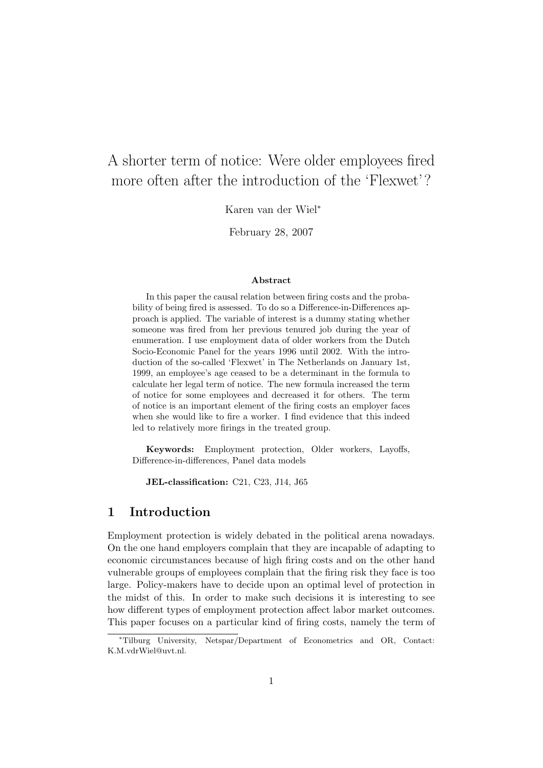# A shorter term of notice: Were older employees fired more often after the introduction of the 'Flexwet'?

Karen van der Wiel<sup>∗</sup>

February 28, 2007

#### Abstract

In this paper the causal relation between firing costs and the probability of being fired is assessed. To do so a Difference-in-Differences approach is applied. The variable of interest is a dummy stating whether someone was fired from her previous tenured job during the year of enumeration. I use employment data of older workers from the Dutch Socio-Economic Panel for the years 1996 until 2002. With the introduction of the so-called 'Flexwet' in The Netherlands on January 1st, 1999, an employee's age ceased to be a determinant in the formula to calculate her legal term of notice. The new formula increased the term of notice for some employees and decreased it for others. The term of notice is an important element of the firing costs an employer faces when she would like to fire a worker. I find evidence that this indeed led to relatively more firings in the treated group.

Keywords: Employment protection, Older workers, Layoffs, Difference-in-differences, Panel data models

JEL-classification: C21, C23, J14, J65

#### 1 Introduction

Employment protection is widely debated in the political arena nowadays. On the one hand employers complain that they are incapable of adapting to economic circumstances because of high firing costs and on the other hand vulnerable groups of employees complain that the firing risk they face is too large. Policy-makers have to decide upon an optimal level of protection in the midst of this. In order to make such decisions it is interesting to see how different types of employment protection affect labor market outcomes. This paper focuses on a particular kind of firing costs, namely the term of

<sup>∗</sup>Tilburg University, Netspar/Department of Econometrics and OR, Contact: K.M.vdrWiel@uvt.nl.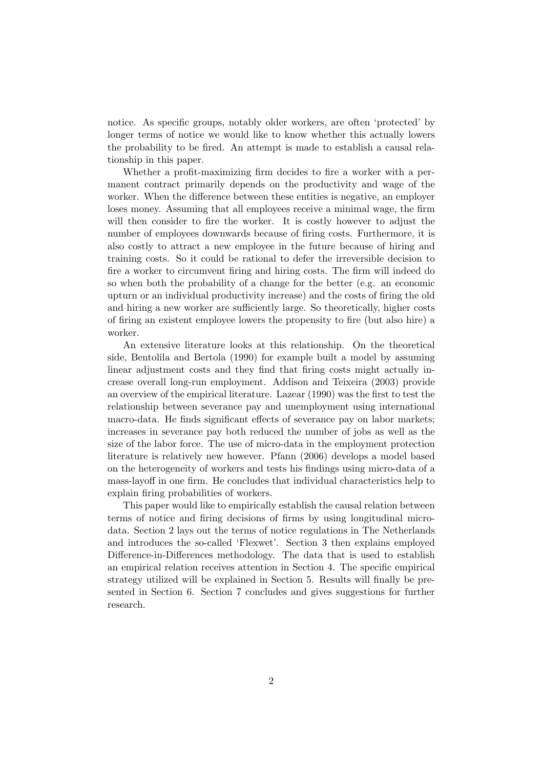notice. As specific groups, notably older workers, are often 'protected' by longer terms of notice we would like to know whether this actually lowers the probability to be fired. An attempt is made to establish a causal relationship in this paper.

Whether a profit-maximizing firm decides to fire a worker with a permanent contract primarily depends on the productivity and wage of the worker. When the difference between these entities is negative, an employer loses money. Assuming that all employees receive a minimal wage, the firm will then consider to fire the worker. It is costly however to adjust the number of employees downwards because of firing costs. Furthermore, it is also costly to attract a new employee in the future because of hiring and training costs. So it could be rational to defer the irreversible decision to fire a worker to circumvent firing and hiring costs. The firm will indeed do so when both the probability of a change for the better (e.g. an economic upturn or an individual productivity increase) and the costs of firing the old and hiring a new worker are sufficiently large. So theoretically, higher costs of firing an existent employee lowers the propensity to fire (but also hire) a worker.

An extensive literature looks at this relationship. On the theoretical side, Bentolila and Bertola (1990) for example built a model by assuming linear adjustment costs and they find that firing costs might actually increase overall long-run employment. Addison and Teixeira (2003) provide an overview of the empirical literature. Lazear (1990) was the first to test the relationship between severance pay and unemployment using international macro-data. He finds significant effects of severance pay on labor markets; increases in severance pay both reduced the number of jobs as well as the size of the labor force. The use of micro-data in the employment protection literature is relatively new however. Pfann (2006) develops a model based on the heterogeneity of workers and tests his findings using micro-data of a mass-layoff in one firm. He concludes that individual characteristics help to explain firing probabilities of workers.

This paper would like to empirically establish the causal relation between terms of notice and firing decisions of firms by using longitudinal microdata. Section 2 lays out the terms of notice regulations in The Netherlands and introduces the so-called 'Flexwet'. Section 3 then explains employed Difference-in-Differences methodology. The data that is used to establish an empirical relation receives attention in Section 4. The specific empirical strategy utilized will be explained in Section 5. Results will finally be presented in Section 6. Section 7 concludes and gives suggestions for further research.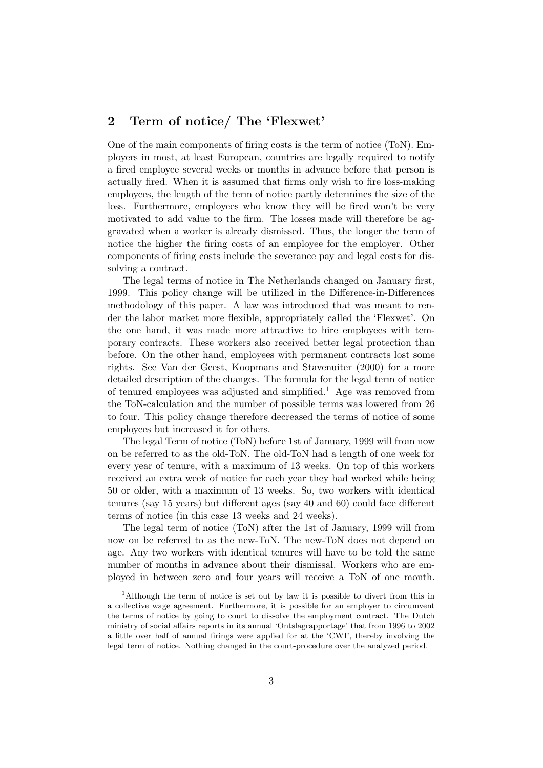## 2 Term of notice/ The 'Flexwet'

One of the main components of firing costs is the term of notice (ToN). Employers in most, at least European, countries are legally required to notify a fired employee several weeks or months in advance before that person is actually fired. When it is assumed that firms only wish to fire loss-making employees, the length of the term of notice partly determines the size of the loss. Furthermore, employees who know they will be fired won't be very motivated to add value to the firm. The losses made will therefore be aggravated when a worker is already dismissed. Thus, the longer the term of notice the higher the firing costs of an employee for the employer. Other components of firing costs include the severance pay and legal costs for dissolving a contract.

The legal terms of notice in The Netherlands changed on January first, 1999. This policy change will be utilized in the Difference-in-Differences methodology of this paper. A law was introduced that was meant to render the labor market more flexible, appropriately called the 'Flexwet'. On the one hand, it was made more attractive to hire employees with temporary contracts. These workers also received better legal protection than before. On the other hand, employees with permanent contracts lost some rights. See Van der Geest, Koopmans and Stavenuiter (2000) for a more detailed description of the changes. The formula for the legal term of notice of tenured employees was adjusted and simplified.<sup>1</sup> Age was removed from the ToN-calculation and the number of possible terms was lowered from 26 to four. This policy change therefore decreased the terms of notice of some employees but increased it for others.

The legal Term of notice (ToN) before 1st of January, 1999 will from now on be referred to as the old-ToN. The old-ToN had a length of one week for every year of tenure, with a maximum of 13 weeks. On top of this workers received an extra week of notice for each year they had worked while being 50 or older, with a maximum of 13 weeks. So, two workers with identical tenures (say 15 years) but different ages (say 40 and 60) could face different terms of notice (in this case 13 weeks and 24 weeks).

The legal term of notice (ToN) after the 1st of January, 1999 will from now on be referred to as the new-ToN. The new-ToN does not depend on age. Any two workers with identical tenures will have to be told the same number of months in advance about their dismissal. Workers who are employed in between zero and four years will receive a ToN of one month.

<sup>1</sup>Although the term of notice is set out by law it is possible to divert from this in a collective wage agreement. Furthermore, it is possible for an employer to circumvent the terms of notice by going to court to dissolve the employment contract. The Dutch ministry of social affairs reports in its annual 'Ontslagrapportage' that from 1996 to 2002 a little over half of annual firings were applied for at the 'CWI', thereby involving the legal term of notice. Nothing changed in the court-procedure over the analyzed period.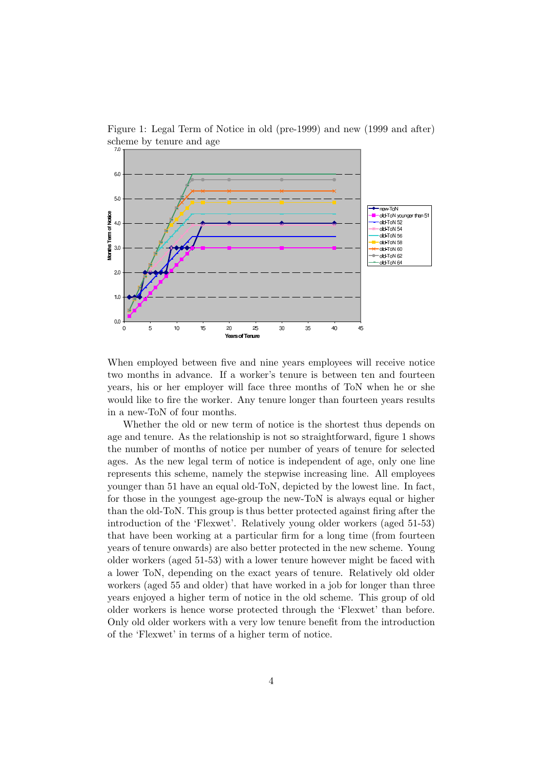

Figure 1: Legal Term of Notice in old (pre-1999) and new (1999 and after) scheme by tenure and age

When employed between five and nine years employees will receive notice two months in advance. If a worker's tenure is between ten and fourteen years, his or her employer will face three months of ToN when he or she would like to fire the worker. Any tenure longer than fourteen years results in a new-ToN of four months.

Whether the old or new term of notice is the shortest thus depends on age and tenure. As the relationship is not so straightforward, figure 1 shows the number of months of notice per number of years of tenure for selected ages. As the new legal term of notice is independent of age, only one line represents this scheme, namely the stepwise increasing line. All employees younger than 51 have an equal old-ToN, depicted by the lowest line. In fact, for those in the youngest age-group the new-ToN is always equal or higher than the old-ToN. This group is thus better protected against firing after the introduction of the 'Flexwet'. Relatively young older workers (aged 51-53) that have been working at a particular firm for a long time (from fourteen years of tenure onwards) are also better protected in the new scheme. Young older workers (aged 51-53) with a lower tenure however might be faced with a lower ToN, depending on the exact years of tenure. Relatively old older workers (aged 55 and older) that have worked in a job for longer than three years enjoyed a higher term of notice in the old scheme. This group of old older workers is hence worse protected through the 'Flexwet' than before. Only old older workers with a very low tenure benefit from the introduction of the 'Flexwet' in terms of a higher term of notice.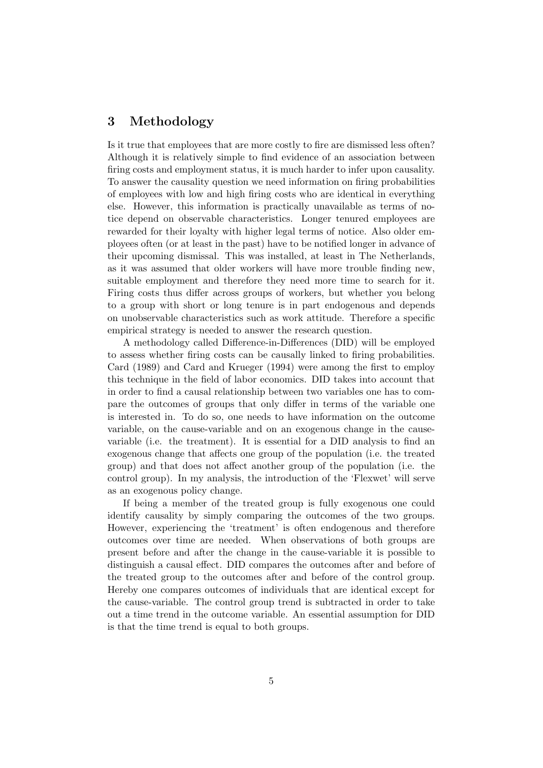# 3 Methodology

Is it true that employees that are more costly to fire are dismissed less often? Although it is relatively simple to find evidence of an association between firing costs and employment status, it is much harder to infer upon causality. To answer the causality question we need information on firing probabilities of employees with low and high firing costs who are identical in everything else. However, this information is practically unavailable as terms of notice depend on observable characteristics. Longer tenured employees are rewarded for their loyalty with higher legal terms of notice. Also older employees often (or at least in the past) have to be notified longer in advance of their upcoming dismissal. This was installed, at least in The Netherlands, as it was assumed that older workers will have more trouble finding new, suitable employment and therefore they need more time to search for it. Firing costs thus differ across groups of workers, but whether you belong to a group with short or long tenure is in part endogenous and depends on unobservable characteristics such as work attitude. Therefore a specific empirical strategy is needed to answer the research question.

A methodology called Difference-in-Differences (DID) will be employed to assess whether firing costs can be causally linked to firing probabilities. Card (1989) and Card and Krueger (1994) were among the first to employ this technique in the field of labor economics. DID takes into account that in order to find a causal relationship between two variables one has to compare the outcomes of groups that only differ in terms of the variable one is interested in. To do so, one needs to have information on the outcome variable, on the cause-variable and on an exogenous change in the causevariable (i.e. the treatment). It is essential for a DID analysis to find an exogenous change that affects one group of the population (i.e. the treated group) and that does not affect another group of the population (i.e. the control group). In my analysis, the introduction of the 'Flexwet' will serve as an exogenous policy change.

If being a member of the treated group is fully exogenous one could identify causality by simply comparing the outcomes of the two groups. However, experiencing the 'treatment' is often endogenous and therefore outcomes over time are needed. When observations of both groups are present before and after the change in the cause-variable it is possible to distinguish a causal effect. DID compares the outcomes after and before of the treated group to the outcomes after and before of the control group. Hereby one compares outcomes of individuals that are identical except for the cause-variable. The control group trend is subtracted in order to take out a time trend in the outcome variable. An essential assumption for DID is that the time trend is equal to both groups.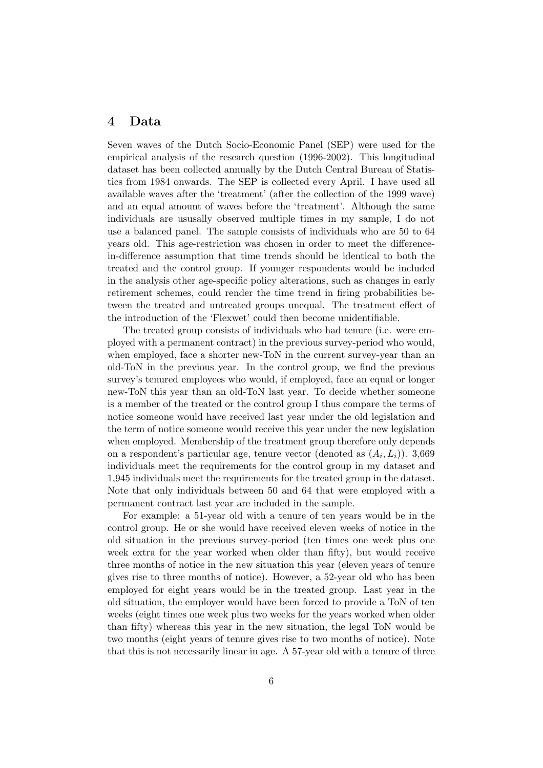### 4 Data

Seven waves of the Dutch Socio-Economic Panel (SEP) were used for the empirical analysis of the research question (1996-2002). This longitudinal dataset has been collected annually by the Dutch Central Bureau of Statistics from 1984 onwards. The SEP is collected every April. I have used all available waves after the 'treatment' (after the collection of the 1999 wave) and an equal amount of waves before the 'treatment'. Although the same individuals are ususally observed multiple times in my sample, I do not use a balanced panel. The sample consists of individuals who are 50 to 64 years old. This age-restriction was chosen in order to meet the differencein-difference assumption that time trends should be identical to both the treated and the control group. If younger respondents would be included in the analysis other age-specific policy alterations, such as changes in early retirement schemes, could render the time trend in firing probabilities between the treated and untreated groups unequal. The treatment effect of the introduction of the 'Flexwet' could then become unidentifiable.

The treated group consists of individuals who had tenure (i.e. were employed with a permanent contract) in the previous survey-period who would, when employed, face a shorter new-ToN in the current survey-year than an old-ToN in the previous year. In the control group, we find the previous survey's tenured employees who would, if employed, face an equal or longer new-ToN this year than an old-ToN last year. To decide whether someone is a member of the treated or the control group I thus compare the terms of notice someone would have received last year under the old legislation and the term of notice someone would receive this year under the new legislation when employed. Membership of the treatment group therefore only depends on a respondent's particular age, tenure vector (denoted as  $(A_i, L_i)$ ). 3,669 individuals meet the requirements for the control group in my dataset and 1,945 individuals meet the requirements for the treated group in the dataset. Note that only individuals between 50 and 64 that were employed with a permanent contract last year are included in the sample.

For example: a 51-year old with a tenure of ten years would be in the control group. He or she would have received eleven weeks of notice in the old situation in the previous survey-period (ten times one week plus one week extra for the year worked when older than fifty), but would receive three months of notice in the new situation this year (eleven years of tenure gives rise to three months of notice). However, a 52-year old who has been employed for eight years would be in the treated group. Last year in the old situation, the employer would have been forced to provide a ToN of ten weeks (eight times one week plus two weeks for the years worked when older than fifty) whereas this year in the new situation, the legal ToN would be two months (eight years of tenure gives rise to two months of notice). Note that this is not necessarily linear in age. A 57-year old with a tenure of three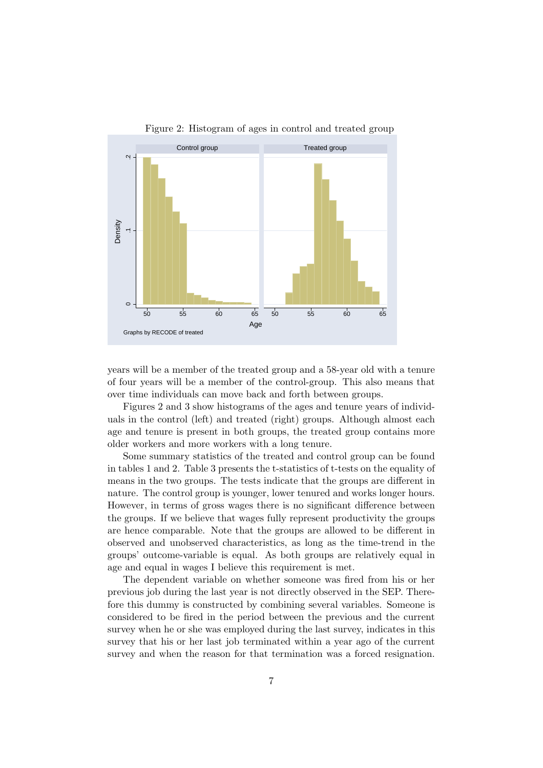

Figure 2: Histogram of ages in control and treated group

years will be a member of the treated group and a 58-year old with a tenure of four years will be a member of the control-group. This also means that over time individuals can move back and forth between groups.

Figures 2 and 3 show histograms of the ages and tenure years of individuals in the control (left) and treated (right) groups. Although almost each age and tenure is present in both groups, the treated group contains more older workers and more workers with a long tenure.

Some summary statistics of the treated and control group can be found in tables 1 and 2. Table 3 presents the t-statistics of t-tests on the equality of means in the two groups. The tests indicate that the groups are different in nature. The control group is younger, lower tenured and works longer hours. However, in terms of gross wages there is no significant difference between the groups. If we believe that wages fully represent productivity the groups are hence comparable. Note that the groups are allowed to be different in observed and unobserved characteristics, as long as the time-trend in the groups' outcome-variable is equal. As both groups are relatively equal in age and equal in wages I believe this requirement is met.

The dependent variable on whether someone was fired from his or her previous job during the last year is not directly observed in the SEP. Therefore this dummy is constructed by combining several variables. Someone is considered to be fired in the period between the previous and the current survey when he or she was employed during the last survey, indicates in this survey that his or her last job terminated within a year ago of the current survey and when the reason for that termination was a forced resignation.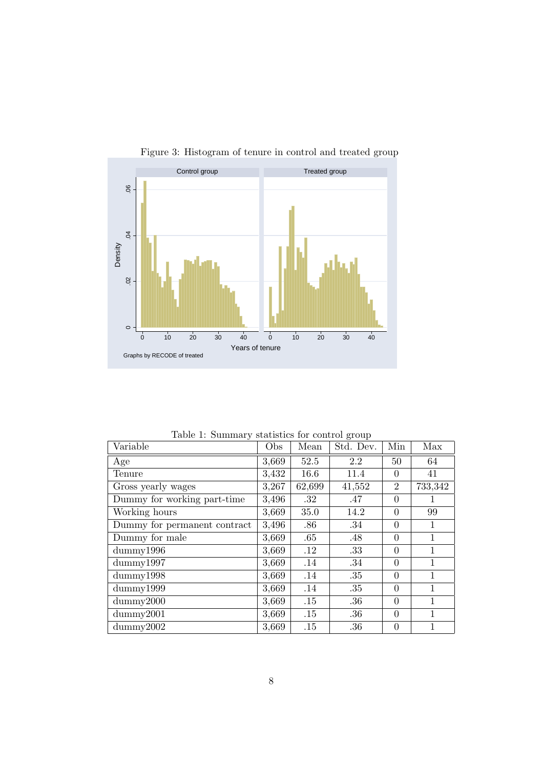

Figure 3: Histogram of tenure in control and treated group

Table 1: Summary statistics for control group

| Variable                     | Obs   | Mean    | Std. Dev. | Min            | Max     |
|------------------------------|-------|---------|-----------|----------------|---------|
| Age                          | 3,669 | 52.5    | 2.2       | 50             | 64      |
| Tenure                       | 3,432 | 16.6    | 11.4      | $\Omega$       | 41      |
| Gross yearly wages           | 3,267 | 62,699  | 41,552    | $\overline{2}$ | 733,342 |
| Dummy for working part-time  | 3,496 | $.32\,$ | .47       | $\theta$       |         |
| Working hours                | 3,669 | 35.0    | 14.2      | $\theta$       | 99      |
| Dummy for permanent contract | 3,496 | .86     | .34       | $\theta$       | 1       |
| Dummy for male               | 3,669 | .65     | .48       | $\theta$       | 1       |
| $\text{dummy}1996$           | 3,669 | .12     | .33       | $\theta$       | 1       |
| dummy1997                    | 3,669 | .14     | .34       | $\theta$       | 1       |
| $d$ ummy $1998$              | 3,669 | .14     | .35       | $\theta$       | 1       |
| dummy1999                    | 3,669 | .14     | .35       | $\theta$       | 1       |
| $\text{dummy}2000$           | 3,669 | .15     | .36       | $\theta$       | 1       |
| $\text{dummy}2001$           | 3,669 | .15     | $.36\,$   | $\theta$       | 1       |
| $\text{dummy}2002$           | 3,669 | .15     | .36       | $\overline{0}$ | 1       |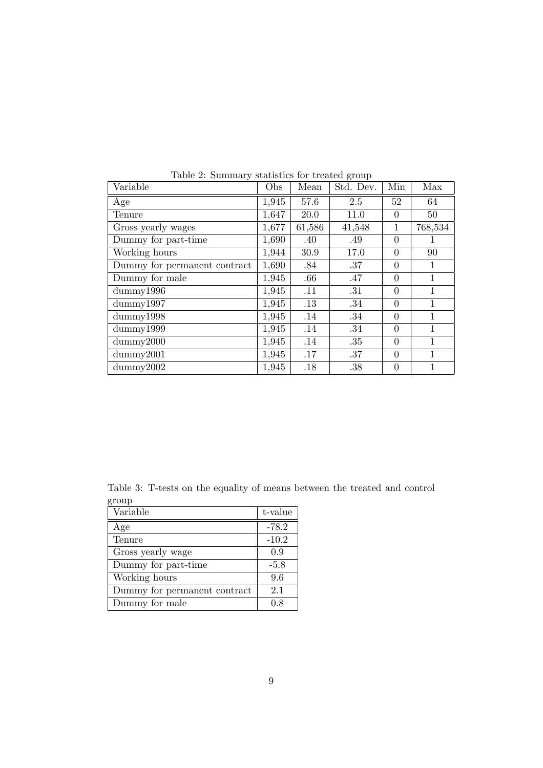| Variable                     | Obs   | Mean   | Std. Dev. | Min            | Max          |
|------------------------------|-------|--------|-----------|----------------|--------------|
| Age                          | 1,945 | 57.6   | 2.5       | 52             | 64           |
| Tenure                       | 1,647 | 20.0   | 11.0      | $\Omega$       | 50           |
| Gross yearly wages           | 1,677 | 61,586 | 41,548    | 1              | 768,534      |
| Dummy for part-time          | 1,690 | .40    | .49       | $\theta$       | 1            |
| Working hours                | 1,944 | 30.9   | 17.0      | $\theta$       | 90           |
| Dummy for permanent contract | 1,690 | .84    | .37       | $\theta$       | $\mathbf{1}$ |
| Dummy for male               | 1,945 | .66    | .47       | $\theta$       | $\mathbf{1}$ |
| dummy1996                    | 1,945 | .11    | .31       | $\theta$       | $\mathbf{1}$ |
| dummy1997                    | 1,945 | .13    | .34       | $\theta$       | $\mathbf{1}$ |
| dummy1998                    | 1,945 | .14    | .34       | $\theta$       | $\mathbf{1}$ |
| dummy1999                    | 1,945 | .14    | .34       | $\theta$       | $\mathbf{1}$ |
| $\text{dummy}2000$           | 1,945 | .14    | .35       | $\theta$       | 1            |
| $\text{dummy}2001$           | 1,945 | .17    | .37       | $\theta$       | 1            |
| $\text{dummy}2002$           | 1,945 | .18    | .38       | $\overline{0}$ | 1            |

Table 2: Summary statistics for treated group

Table 3: T-tests on the equality of means between the treated and control group

| Variable                     | t-value |
|------------------------------|---------|
| Age                          | $-78.2$ |
| Tenure                       | $-10.2$ |
| Gross yearly wage            | 0.9     |
| Dummy for part-time          | $-5.8$  |
| Working hours                | 9.6     |
| Dummy for permanent contract | 2.1     |
| Dummy for male               | 0.8     |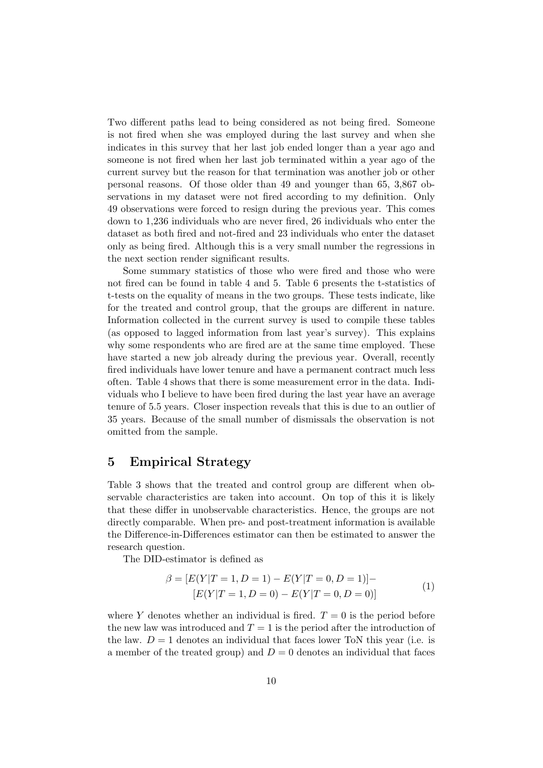Two different paths lead to being considered as not being fired. Someone is not fired when she was employed during the last survey and when she indicates in this survey that her last job ended longer than a year ago and someone is not fired when her last job terminated within a year ago of the current survey but the reason for that termination was another job or other personal reasons. Of those older than 49 and younger than 65, 3,867 observations in my dataset were not fired according to my definition. Only 49 observations were forced to resign during the previous year. This comes down to 1,236 individuals who are never fired, 26 individuals who enter the dataset as both fired and not-fired and 23 individuals who enter the dataset only as being fired. Although this is a very small number the regressions in the next section render significant results.

Some summary statistics of those who were fired and those who were not fired can be found in table 4 and 5. Table 6 presents the t-statistics of t-tests on the equality of means in the two groups. These tests indicate, like for the treated and control group, that the groups are different in nature. Information collected in the current survey is used to compile these tables (as opposed to lagged information from last year's survey). This explains why some respondents who are fired are at the same time employed. These have started a new job already during the previous year. Overall, recently fired individuals have lower tenure and have a permanent contract much less often. Table 4 shows that there is some measurement error in the data. Individuals who I believe to have been fired during the last year have an average tenure of 5.5 years. Closer inspection reveals that this is due to an outlier of 35 years. Because of the small number of dismissals the observation is not omitted from the sample.

# 5 Empirical Strategy

Table 3 shows that the treated and control group are different when observable characteristics are taken into account. On top of this it is likely that these differ in unobservable characteristics. Hence, the groups are not directly comparable. When pre- and post-treatment information is available the Difference-in-Differences estimator can then be estimated to answer the research question.

The DID-estimator is defined as

$$
\beta = [E(Y|T = 1, D = 1) - E(Y|T = 0, D = 1)] -
$$
  
\n
$$
[E(Y|T = 1, D = 0) - E(Y|T = 0, D = 0)]
$$
\n(1)

where Y denotes whether an individual is fired.  $T = 0$  is the period before the new law was introduced and  $T = 1$  is the period after the introduction of the law.  $D = 1$  denotes an individual that faces lower ToN this year (i.e. is a member of the treated group) and  $D = 0$  denotes an individual that faces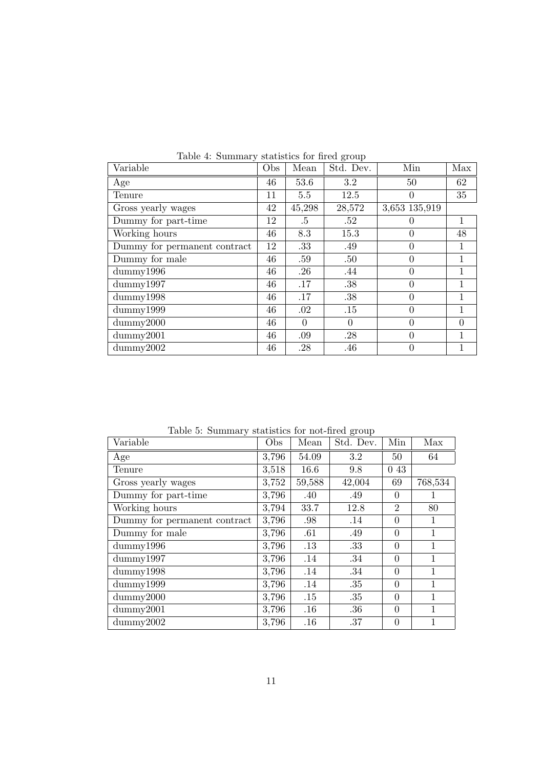| rapio 1. Sammary pragments for mou group<br>Variable | Obs | Mean     | Std. Dev. | Min           | Max          |
|------------------------------------------------------|-----|----------|-----------|---------------|--------------|
| Age                                                  | 46  | 53.6     | 3.2       | 50            | 62           |
| Tenure                                               | 11  | 5.5      | 12.5      | $\Omega$      | 35           |
| Gross yearly wages                                   | 42  | 45,298   | 28,572    | 3,653 135,919 |              |
| Dummy for part-time                                  | 12  | .5       | .52       | $\theta$      | 1            |
| Working hours                                        | 46  | 8.3      | 15.3      | $\theta$      | 48           |
| Dummy for permanent contract                         | 12  | .33      | .49       | $\theta$      | $\mathbf{1}$ |
| Dummy for male                                       | 46  | .59      | .50       | $\theta$      | $\mathbf{1}$ |
| $\text{dummy}1996$                                   | 46  | .26      | .44       | $\theta$      | $\mathbf{1}$ |
| dummy1997                                            | 46  | .17      | .38       | $\theta$      | 1            |
| dummy1998                                            | 46  | .17      | .38       | $\theta$      | 1            |
| $\text{dummy}1999$                                   | 46  | .02      | .15       | $\theta$      | 1            |
| $\text{dummy}2000$                                   | 46  | $\Omega$ | $\Omega$  | $\theta$      | $\theta$     |
| $\text{dummy}2001$                                   | 46  | .09      | .28       | $\theta$      | $\mathbf{1}$ |
| dummy2002                                            | 46  | .28      | .46       | $\theta$      | 1            |

Table 4: Summary statistics for fired group

Table 5: Summary statistics for not-fired group

| Variable                     | Obs   | Mean    | Std. Dev. | Min            | Max          |
|------------------------------|-------|---------|-----------|----------------|--------------|
| Age                          | 3,796 | 54.09   | 3.2       | 50             | 64           |
| Tenure                       | 3,518 | 16.6    | 9.8       | 0 43           |              |
| Gross yearly wages           | 3,752 | 59,588  | 42,004    | 69             | 768,534      |
| Dummy for part-time          | 3,796 | .40     | .49       | $\Omega$       |              |
| Working hours                | 3,794 | 33.7    | 12.8      | $\overline{2}$ | 80           |
| Dummy for permanent contract | 3,796 | .98     | .14       | $\theta$       | 1            |
| Dummy for male               | 3,796 | .61     | .49       | $\theta$       | $\mathbf{1}$ |
| $\text{dummy}1996$           | 3,796 | $.13\,$ | .33       | $\theta$       | $\mathbf{1}$ |
| dummy1997                    | 3,796 | .14     | .34       | $\theta$       | 1            |
| dummy1998                    | 3,796 | .14     | .34       | $\theta$       | $\mathbf{1}$ |
| dummy1999                    | 3,796 | .14     | .35       | $\theta$       | $\mathbf{1}$ |
| $\text{dummy}2000$           | 3,796 | .15     | .35       | $\theta$       | $\mathbf{1}$ |
| $\text{dummy}2001$           | 3,796 | .16     | .36       | $\theta$       | 1            |
| $\text{dummy}2002$           | 3,796 | .16     | .37       | $\overline{0}$ | 1            |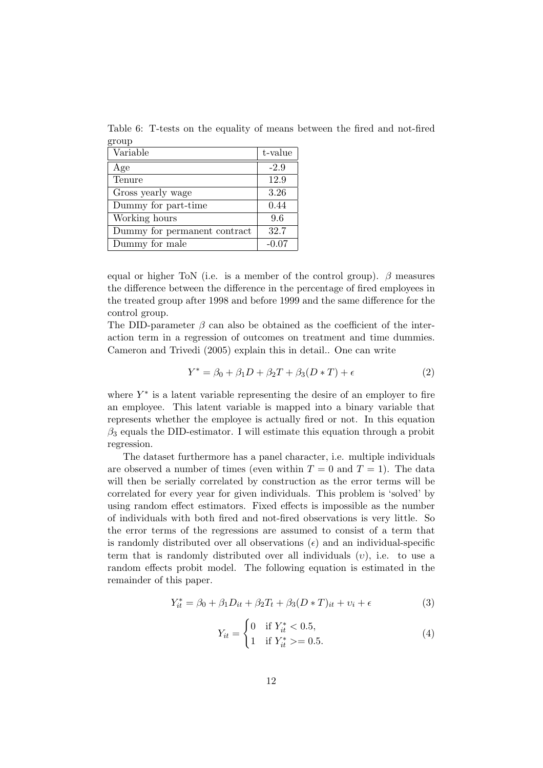Table 6: T-tests on the equality of means between the fired and not-fired group

| Variable                     | t-value |
|------------------------------|---------|
| Age                          | $-2.9$  |
| Tenure                       | 12.9    |
| Gross yearly wage            | 3.26    |
| Dummy for part-time          | 0.44    |
| Working hours                | 9.6     |
| Dummy for permanent contract | 32.7    |
| Dummy for male               | $-0.07$ |

equal or higher ToN (i.e. is a member of the control group).  $\beta$  measures the difference between the difference in the percentage of fired employees in the treated group after 1998 and before 1999 and the same difference for the control group.

The DID-parameter  $\beta$  can also be obtained as the coefficient of the interaction term in a regression of outcomes on treatment and time dummies. Cameron and Trivedi (2005) explain this in detail.. One can write

$$
Y^* = \beta_0 + \beta_1 D + \beta_2 T + \beta_3 (D * T) + \epsilon \tag{2}
$$

where  $Y^*$  is a latent variable representing the desire of an employer to fire an employee. This latent variable is mapped into a binary variable that represents whether the employee is actually fired or not. In this equation  $\beta_3$  equals the DID-estimator. I will estimate this equation through a probit regression.

The dataset furthermore has a panel character, i.e. multiple individuals are observed a number of times (even within  $T = 0$  and  $T = 1$ ). The data will then be serially correlated by construction as the error terms will be correlated for every year for given individuals. This problem is 'solved' by using random effect estimators. Fixed effects is impossible as the number of individuals with both fired and not-fired observations is very little. So the error terms of the regressions are assumed to consist of a term that is randomly distributed over all observations  $(\epsilon)$  and an individual-specific term that is randomly distributed over all individuals  $(v)$ , i.e. to use a random effects probit model. The following equation is estimated in the remainder of this paper.

$$
Y_{it}^* = \beta_0 + \beta_1 D_{it} + \beta_2 T_t + \beta_3 (D * T)_{it} + v_i + \epsilon
$$
 (3)

$$
Y_{it} = \begin{cases} 0 & \text{if } Y_{it}^{*} < 0.5, \\ 1 & \text{if } Y_{it}^{*} > = 0.5. \end{cases}
$$
 (4)

 $\overline{a}$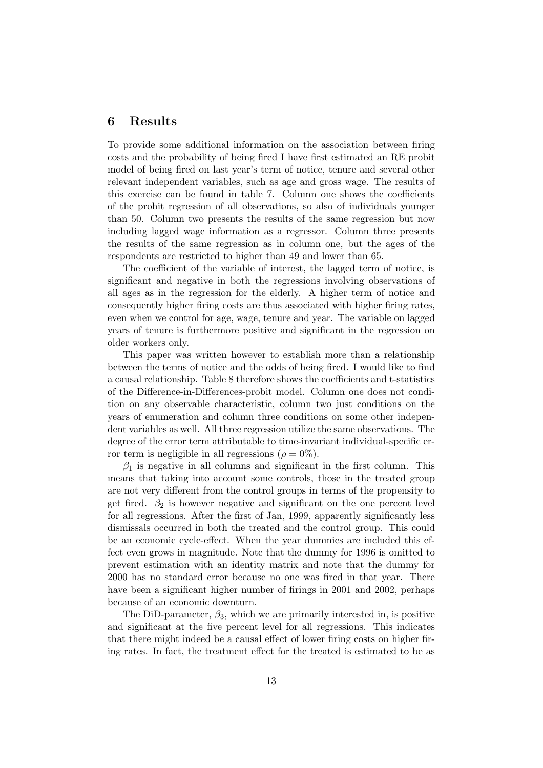### 6 Results

To provide some additional information on the association between firing costs and the probability of being fired I have first estimated an RE probit model of being fired on last year's term of notice, tenure and several other relevant independent variables, such as age and gross wage. The results of this exercise can be found in table 7. Column one shows the coefficients of the probit regression of all observations, so also of individuals younger than 50. Column two presents the results of the same regression but now including lagged wage information as a regressor. Column three presents the results of the same regression as in column one, but the ages of the respondents are restricted to higher than 49 and lower than 65.

The coefficient of the variable of interest, the lagged term of notice, is significant and negative in both the regressions involving observations of all ages as in the regression for the elderly. A higher term of notice and consequently higher firing costs are thus associated with higher firing rates, even when we control for age, wage, tenure and year. The variable on lagged years of tenure is furthermore positive and significant in the regression on older workers only.

This paper was written however to establish more than a relationship between the terms of notice and the odds of being fired. I would like to find a causal relationship. Table 8 therefore shows the coefficients and t-statistics of the Difference-in-Differences-probit model. Column one does not condition on any observable characteristic, column two just conditions on the years of enumeration and column three conditions on some other independent variables as well. All three regression utilize the same observations. The degree of the error term attributable to time-invariant individual-specific error term is negligible in all regressions ( $\rho = 0\%$ ).

 $\beta_1$  is negative in all columns and significant in the first column. This means that taking into account some controls, those in the treated group are not very different from the control groups in terms of the propensity to get fired.  $\beta_2$  is however negative and significant on the one percent level for all regressions. After the first of Jan, 1999, apparently significantly less dismissals occurred in both the treated and the control group. This could be an economic cycle-effect. When the year dummies are included this effect even grows in magnitude. Note that the dummy for 1996 is omitted to prevent estimation with an identity matrix and note that the dummy for 2000 has no standard error because no one was fired in that year. There have been a significant higher number of firings in 2001 and 2002, perhaps because of an economic downturn.

The DiD-parameter,  $\beta_3$ , which we are primarily interested in, is positive and significant at the five percent level for all regressions. This indicates that there might indeed be a causal effect of lower firing costs on higher firing rates. In fact, the treatment effect for the treated is estimated to be as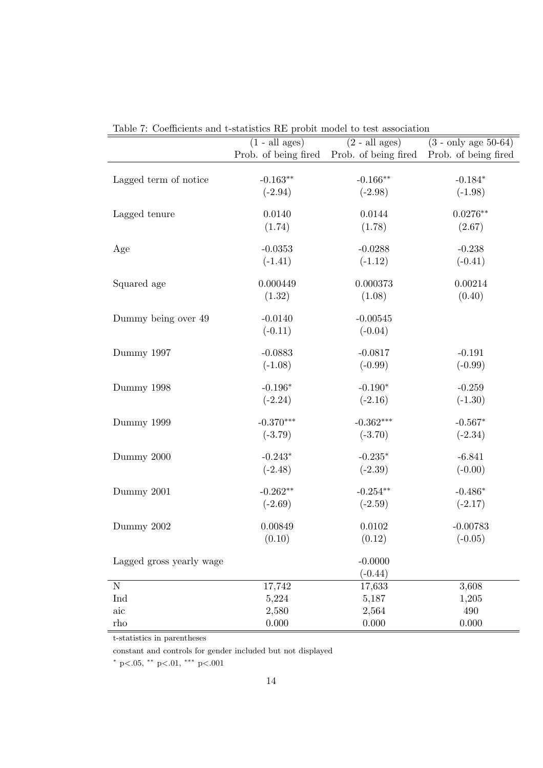|                          | $(1 - \text{all ages})$ | $(2 - all ages)$                          | $(3 - only age 50-64)$ |
|--------------------------|-------------------------|-------------------------------------------|------------------------|
|                          |                         | Prob. of being fired Prob. of being fired | Prob. of being fired   |
|                          |                         |                                           |                        |
| Lagged term of notice    | $-0.163**$              | $-0.166**$                                | $-0.184*$              |
|                          | $(-2.94)$               | $(-2.98)$                                 | $(-1.98)$              |
|                          |                         |                                           |                        |
| Lagged tenure            | 0.0140                  | 0.0144                                    | $0.0276**$             |
|                          | (1.74)                  | (1.78)                                    | (2.67)                 |
| Age                      | $-0.0353$               | $-0.0288$                                 | $-0.238$               |
|                          | $(-1.41)$               | $(-1.12)$                                 | $(-0.41)$              |
|                          |                         |                                           |                        |
| Squared age              | 0.000449                | 0.000373                                  | 0.00214                |
|                          | (1.32)                  | (1.08)                                    | (0.40)                 |
|                          |                         |                                           |                        |
| Dummy being over 49      | $-0.0140$               | $-0.00545$                                |                        |
|                          | $(-0.11)$               | $(-0.04)$                                 |                        |
| Dummy 1997               | $-0.0883$               | $-0.0817$                                 | $-0.191$               |
|                          | $(-1.08)$               | $(-0.99)$                                 | $(-0.99)$              |
|                          |                         |                                           |                        |
| Dummy 1998               | $-0.196*$               | $-0.190*$                                 | $-0.259$               |
|                          | $(-2.24)$               | $(-2.16)$                                 | $(-1.30)$              |
|                          | $-0.370***$             |                                           |                        |
| Dummy 1999               |                         | $-0.362***$                               | $-0.567*$              |
|                          | $(-3.79)$               | $(-3.70)$                                 | $(-2.34)$              |
| Dummy 2000               | $-0.243*$               | $-0.235*$                                 | $-6.841$               |
|                          | $(-2.48)$               | $(-2.39)$                                 | $(-0.00)$              |
|                          |                         |                                           |                        |
| Dummy 2001               | $-0.262**$              | $-0.254**$                                | $-0.486*$              |
|                          | $(-2.69)$               | $(-2.59)$                                 | $(-2.17)$              |
| Dummy 2002               | 0.00849                 | 0.0102                                    | $-0.00783$             |
|                          | (0.10)                  | (0.12)                                    | $(-0.05)$              |
|                          |                         |                                           |                        |
| Lagged gross yearly wage |                         | $-0.0000$                                 |                        |
|                          |                         | $(-0.44)$                                 |                        |
| ${\bf N}$                | 17,742                  | 17,633                                    | 3,608                  |
| Ind                      | 5,224                   | 5,187                                     | 1,205                  |
| aic                      | 2,580                   | 2,564                                     | 490                    |
| rho                      | 0.000                   | 0.000                                     | 0.000                  |

Table 7: Coefficients and t-statistics RE probit model to test association

t-statistics in parentheses

constant and controls for gender included but not displayed

<sup>∗</sup> p<.05, ∗∗ p<.01, ∗∗∗ p<.001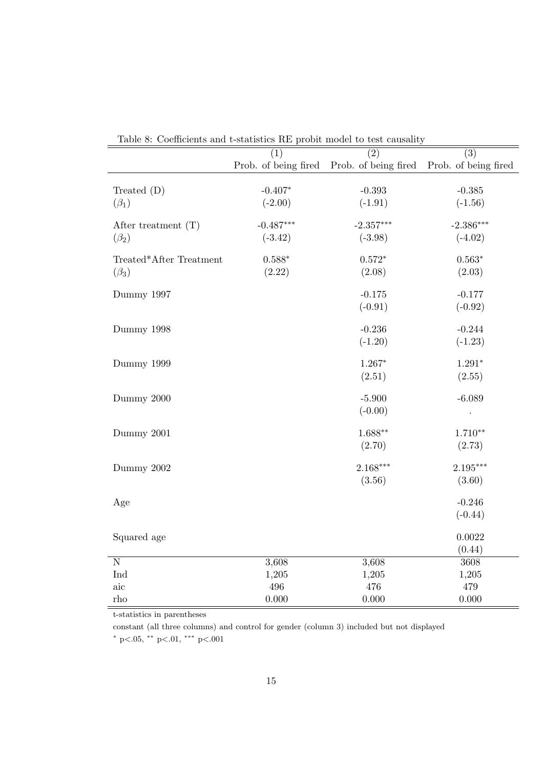|                         | Coemercines and e-seatistics rul proble moder to test causality |                      | $\overline{(3)}$     |
|-------------------------|-----------------------------------------------------------------|----------------------|----------------------|
|                         | (1)                                                             | (2)                  |                      |
|                         | Prob. of being fired                                            | Prob. of being fired | Prob. of being fired |
|                         |                                                                 |                      |                      |
| Treated $(D)$           | $-0.407*$                                                       | $-0.393$             | $-0.385$             |
| $(\beta_1)$             | $(-2.00)$                                                       | $(-1.91)$            | $(-1.56)$            |
|                         | $-0.487***$                                                     | $-2.357***$          | $-2.386***$          |
| After treatment $(T)$   |                                                                 |                      |                      |
| $(\beta_2)$             | $(-3.42)$                                                       | $(-3.98)$            | $(-4.02)$            |
| Treated*After Treatment | $0.588*$                                                        | $0.572*$             | $0.563*$             |
| $(\beta_3)$             | (2.22)                                                          | (2.08)               | (2.03)               |
|                         |                                                                 |                      |                      |
| Dummy 1997              |                                                                 | $-0.175$             | $-0.177$             |
|                         |                                                                 | $(-0.91)$            | $(-0.92)$            |
|                         |                                                                 |                      |                      |
| Dummy 1998              |                                                                 | $-0.236$             | $-0.244$             |
|                         |                                                                 | $(-1.20)$            | $(-1.23)$            |
| Dummy 1999              |                                                                 | $1.267*$             | $1.291*$             |
|                         |                                                                 | (2.51)               | (2.55)               |
|                         |                                                                 |                      |                      |
| Dummy 2000              |                                                                 | $-5.900$             | $-6.089$             |
|                         |                                                                 | $(-0.00)$            |                      |
|                         |                                                                 |                      |                      |
| Dummy 2001              |                                                                 | $1.688**$            | $1.710**$            |
|                         |                                                                 | (2.70)               | (2.73)               |
| Dummy 2002              |                                                                 | $2.168***$           | $2.195***$           |
|                         |                                                                 | (3.56)               | (3.60)               |
|                         |                                                                 |                      |                      |
| Age                     |                                                                 |                      | $-0.246$             |
|                         |                                                                 |                      | $(-0.44)$            |
|                         |                                                                 |                      |                      |
| Squared age             |                                                                 |                      | 0.0022               |
|                         |                                                                 |                      | (0.44)               |
| $\overline{\text{N}}$   | 3,608                                                           | 3,608                | 3608                 |
| Ind                     | 1,205                                                           | 1,205                | 1,205                |
| $\rm{aic}$              | 496                                                             | 476                  | 479                  |
| $_{\rm rho}$            | 0.000                                                           | 0.000                | 0.000                |

Table 8: Coefficients and t-statistics RE probit model to test causality

t-statistics in parentheses

constant (all three columns) and control for gender (column 3) included but not displayed

<sup>∗</sup> p<.05, ∗∗ p<.01, ∗∗∗ p<.001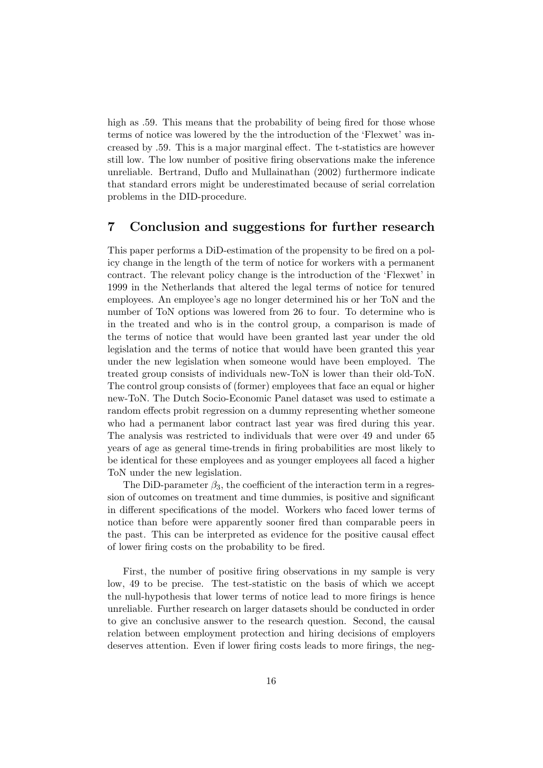high as  $.59$ . This means that the probability of being fired for those whose terms of notice was lowered by the the introduction of the 'Flexwet' was increased by .59. This is a major marginal effect. The t-statistics are however still low. The low number of positive firing observations make the inference unreliable. Bertrand, Duflo and Mullainathan (2002) furthermore indicate that standard errors might be underestimated because of serial correlation problems in the DID-procedure.

# 7 Conclusion and suggestions for further research

This paper performs a DiD-estimation of the propensity to be fired on a policy change in the length of the term of notice for workers with a permanent contract. The relevant policy change is the introduction of the 'Flexwet' in 1999 in the Netherlands that altered the legal terms of notice for tenured employees. An employee's age no longer determined his or her ToN and the number of ToN options was lowered from 26 to four. To determine who is in the treated and who is in the control group, a comparison is made of the terms of notice that would have been granted last year under the old legislation and the terms of notice that would have been granted this year under the new legislation when someone would have been employed. The treated group consists of individuals new-ToN is lower than their old-ToN. The control group consists of (former) employees that face an equal or higher new-ToN. The Dutch Socio-Economic Panel dataset was used to estimate a random effects probit regression on a dummy representing whether someone who had a permanent labor contract last year was fired during this year. The analysis was restricted to individuals that were over 49 and under 65 years of age as general time-trends in firing probabilities are most likely to be identical for these employees and as younger employees all faced a higher ToN under the new legislation.

The DiD-parameter  $\beta_3$ , the coefficient of the interaction term in a regression of outcomes on treatment and time dummies, is positive and significant in different specifications of the model. Workers who faced lower terms of notice than before were apparently sooner fired than comparable peers in the past. This can be interpreted as evidence for the positive causal effect of lower firing costs on the probability to be fired.

First, the number of positive firing observations in my sample is very low, 49 to be precise. The test-statistic on the basis of which we accept the null-hypothesis that lower terms of notice lead to more firings is hence unreliable. Further research on larger datasets should be conducted in order to give an conclusive answer to the research question. Second, the causal relation between employment protection and hiring decisions of employers deserves attention. Even if lower firing costs leads to more firings, the neg